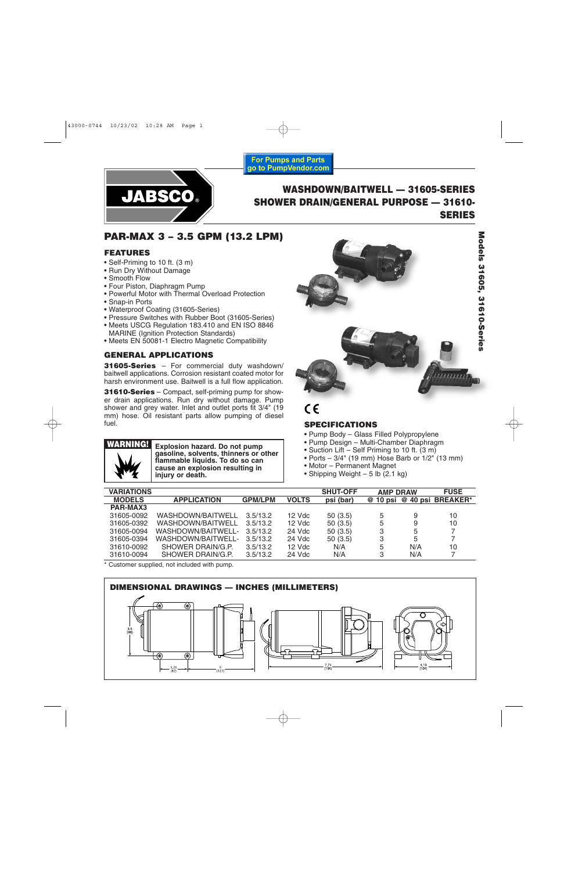

# **WASHDOWN/BAITWELL — 31605-SERIES SHOWER DRAIN/GENERAL PURPOSE — 31610- SERIES**

# **PAR-MAX 3 – 3.5 GPM (13.2 LPM)**

### **FEATURES**

- Self-Priming to 10 ft. (3 m)
- Run Dry Without Damage
- Smooth Flow
- Four Piston, Diaphragm Pump
- Powerful Motor with Thermal Overload Protection
- Snap-in Ports
- Waterproof Coating (31605-Series)
- Pressure Switches with Rubber Boot (31605-Series)
- Meets USCG Regulation 183.410 and EN ISO 8846 MARINE (Ignition Protection Standards)
- Meets EN 50081-1 Electro Magnetic Compatibility

## **GENERAL APPLICATIONS**

**31605-Series** – For commercial duty washdown/ baitwell applications. Corrosion resistant coated motor for harsh environment use. Baitwell is a full flow application.

**31610-Series** – Compact, self-priming pump for shower drain applications. Run dry without damage. Pump shower and grey water. Inlet and outlet ports fit 3/4" (19 mm) hose. Oil resistant parts allow pumping of diesel fuel.



**Explosion hazard. Do not pump gasoline, solvents, thinners or other flammable liquids. To do so can cause an explosion resulting in injury or death.**





 $\epsilon$ 

### **SPECIFICATIONS**

- Pump Body Glass Filled Polypropylene
- Pump Design Multi-Chamber Diaphragm
- Suction Lift Self Priming to 10 ft. (3 m)
- Ports  $-3/4$ " (19 mm) Hose Barb or  $1/2$ " (13 mm)
- Motor Permanent Magnet
- Shipping Weight 5 lb  $(2.1 \text{ kg})$

| <b>VARIATIONS</b> |                    |                |              | <b>SHUT-OFF</b> | <b>AMP DRAW</b> |     | <b>FUSE</b>                |
|-------------------|--------------------|----------------|--------------|-----------------|-----------------|-----|----------------------------|
|                   |                    |                |              |                 |                 |     |                            |
| <b>MODELS</b>     | <b>APPLICATION</b> | <b>GPM/LPM</b> | <b>VOLTS</b> | psi (bar)       |                 |     | @ 10 psi @ 40 psi BREAKER* |
| PAR-MAX3          |                    |                |              |                 |                 |     |                            |
| 31605-0092        | WASHDOWN/BAITWELL  | 3.5/13.2       | $12$ Vdc     | 50(3.5)         | 5               | 9   | 10                         |
| 31605-0392        | WASHDOWN/BAITWELL  | 3.5/13.2       | 12 Vdc       | 50(3.5)         | 5               | 9   | 10                         |
| 31605-0094        | WASHDOWN/BAITWELL- | 3.5/13.2       | 24 Vdc       | 50(3.5)         | 3               | 5   |                            |
| 31605-0394        | WASHDOWN/BAITWELL- | 3.5/13.2       | 24 Vdc       | 50(3.5)         | 3               | 5   |                            |
| 31610-0092        | SHOWER DRAIN/G.P.  | 3.5/13.2       | 12 Vdc       | N/A             | 5               | N/A | 10                         |
| 31610-0094        | SHOWER DRAIN/G.P.  | 3.5/13.2       | 24 Vdc       | N/A             | З               | N/A |                            |

**For Pumps and Parts** go to PumpVendor.com

\* Customer supplied, not included with pump.

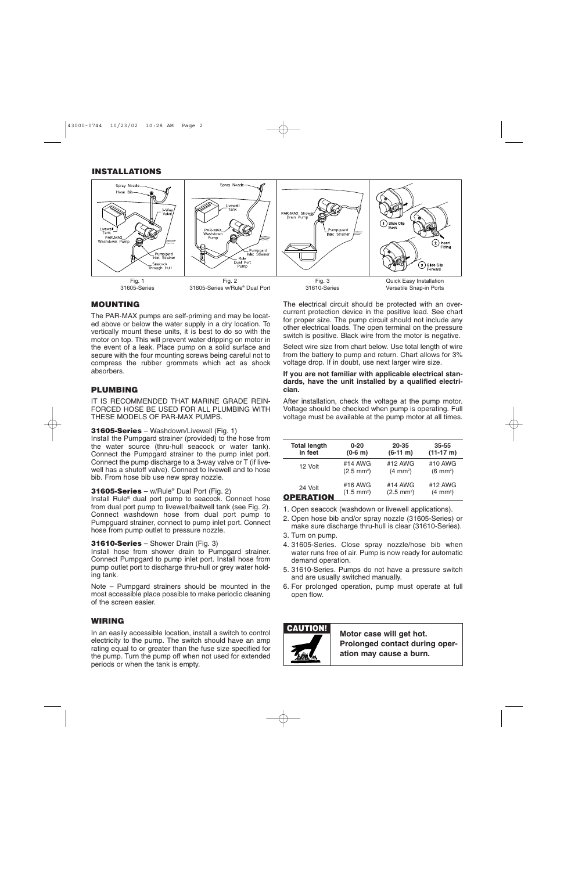### **INSTALLATIONS**



## **MOUNTING**

The PAR-MAX pumps are self-priming and may be located above or below the water supply in a dry location. To vertically mount these units, it is best to do so with the motor on top. This will prevent water dripping on motor in the event of a leak. Place pump on a solid surface and secure with the four mounting screws being careful not to compress the rubber grommets which act as shock absorbers.

### **PLUMBING**

IT IS RECOMMENDED THAT MARINE GRADE REIN-FORCED HOSE BE USED FOR ALL PLUMBING WITH THESE MODELS OF PAR-MAX PUMPS.

### **31605-Series** – Washdown/Livewell (Fig. 1)

Install the Pumpgard strainer (provided) to the hose from the water source (thru-hull seacock or water tank). Connect the Pumpgard strainer to the pump inlet port. Connect the pump discharge to a 3-way valve or T (if livewell has a shutoff valve). Connect to livewell and to hose bib. From hose bib use new spray nozzle.

**31605-Series** – w/Rule® Dual Port (Fig. 2)

Install Rule® dual port pump to seacock. Connect hose from dual port pump to livewell/baitwell tank (see Fig. 2). Connect washdown hose from dual port pump to Pumpguard strainer, connect to pump inlet port. Connect hose from pump outlet to pressure nozzle.

### **31610-Series** – Shower Drain (Fig. 3)

Install hose from shower drain to Pumpgard strainer. Connect Pumpgard to pump inlet port. Install hose from pump outlet port to discharge thru-hull or grey water holding tank.

Note – Pumpgard strainers should be mounted in the most accessible place possible to make periodic cleaning of the screen easier.

### **WIRING**

In an easily accessible location, install a switch to control electricity to the pump. The switch should have an amp rating equal to or greater than the fuse size specified for the pump. Turn the pump off when not used for extended periods or when the tank is empty.

The electrical circuit should be protected with an overcurrent protection device in the positive lead. See chart for proper size. The pump circuit should not include any other electrical loads. The open terminal on the pressure switch is positive. Black wire from the motor is negative.

Select wire size from chart below. Use total length of wire from the battery to pump and return. Chart allows for 3% voltage drop. If in doubt, use next larger wire size.

#### **If you are not familiar with applicable electrical standards, have the unit installed by a qualified electrician.**

After installation, check the voltage at the pump motor. Voltage should be checked when pump is operating. Full voltage must be available at the pump motor at all times.

| <b>Total length</b> | $0 - 20$             | 20-35                | $35 - 55$           |
|---------------------|----------------------|----------------------|---------------------|
| in feet             | $(0-6 \; \text{m})$  | $(6-11 \; m)$        | $(11-17 \text{ m})$ |
| 12 Volt             | #14 AWG              | #12 AWG              | #10 AWG             |
|                     | $(2.5 \text{ mm}^2)$ | $(4 \text{ mm}^2)$   | $(6 \text{ mm}^2)$  |
| 24 Volt             | #16 AWG              | #14 AWG              | #12 AWG             |
| <b>OPERATION</b>    | $(1.5 \text{ mm}^2)$ | $(2.5 \text{ mm}^2)$ | $(4 \text{ mm}^2)$  |

- 1. Open seacock (washdown or livewell applications).
- 2. Open hose bib and/or spray nozzle (31605-Series) or make sure discharge thru-hull is clear (31610-Series).
- 3. Turn on pump.
- 4. 31605-Series. Close spray nozzle/hose bib when water runs free of air. Pump is now ready for automatic demand operation.
- 5. 31610-Series. Pumps do not have a pressure switch and are usually switched manually.
- 6. For prolonged operation, pump must operate at full open flow.

**CAUTION! Motor case will get hot. Prolonged contact during operation may cause a burn.**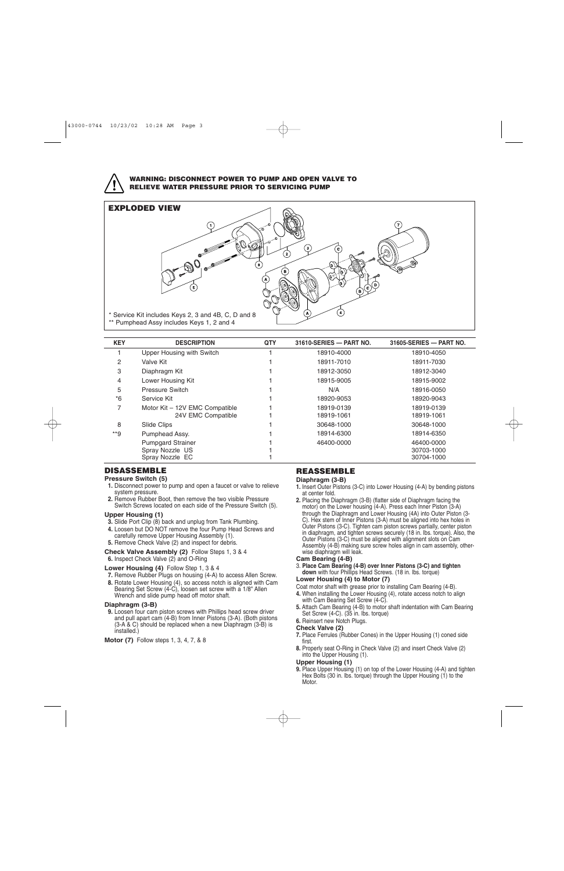

#### **WARNING: DISCONNECT POWER TO PUMP AND OPEN VALVE TO RELIEVE WATER PRESSURE PRIOR TO SERVICING PUMP**



| <b>KEY</b> | <b>DESCRIPTION</b>                                             | <b>QTY</b> | 31610-SERIES - PART NO.  | 31605-SERIES - PART NO.                |
|------------|----------------------------------------------------------------|------------|--------------------------|----------------------------------------|
|            | Upper Housing with Switch                                      |            | 18910-4000               | 18910-4050                             |
| 2          | Valve Kit                                                      |            | 18911-7010               | 18911-7030                             |
| 3          | Diaphragm Kit                                                  |            | 18912-3050               | 18912-3040                             |
| 4          | Lower Housing Kit                                              |            | 18915-9005               | 18915-9002                             |
| 5          | <b>Pressure Switch</b>                                         |            | N/A                      | 18916-0050                             |
| $*6$       | Service Kit                                                    |            | 18920-9053               | 18920-9043                             |
| 7          | Motor Kit - 12V EMC Compatible<br>24V EMC Compatible           |            | 18919-0139<br>18919-1061 | 18919-0139<br>18919-1061               |
| 8          | Slide Clips                                                    |            | 30648-1000               | 30648-1000                             |
| $*$ 9      | Pumphead Assy.                                                 |            | 18914-6300               | 18914-6350                             |
|            | <b>Pumpgard Strainer</b><br>Spray Nozzle US<br>Spray Nozzle EC |            | 46400-0000               | 46400-0000<br>30703-1000<br>30704-1000 |

### **DISASSEMBLE**

#### **Pressure Switch (5)**

- **1.** Disconnect power to pump and open a faucet or valve to relieve system pressure.
- **2.** Remove Rubber Boot, then remove the two visible Pressure Switch Screws located on each side of the Pressure Switch (5).

#### **Upper Housing (1)**

- **3.** Slide Port Clip (8) back and unplug from Tank Plumbing.
- **4.** Loosen but DO NOT remove the four Pump Head Screws and carefully remove Upper Housing Assembly (1).
- **5.** Remove Check Valve (2) and inspect for debris.
- **Check Valve Assembly (2)** Follow Steps 1, 3 & 4
- **6.** Inspect Check Valve (2) and O-Ring

#### **Lower Housing (4)** Follow Step 1, 3 & 4

- **7.** Remove Rubber Plugs on housing (4-A) to access Allen Screw.
- **8.** Rotate Lower Housing (4), so access notch is aligned with Cam Bearing Set Screw (4-C), loosen set screw with a 1/8" Allen Wrench and slide pump head off motor shaft.

#### **Diaphragm (3-B)**

**9.** Loosen four cam piston screws with Phillips head screw driver and pull apart cam (4-B) from Inner Pistons (3-A). (Both pistons (3-A & C) should be replaced when a new Diaphragm (3-B) is installed.)

#### **Motor (7)** Follow steps 1, 3, 4, 7, & 8

### **REASSEMBLE**

#### **Diaphragm (3-B)**

- **1.** Insert Outer Pistons (3-C) into Lower Housing (4-A) by bending pistons at center fold.
- **2.** Placing the Diaphragm (3-B) (flatter side of Diaphragm facing the motor) on the Lower housing (4-A). Press each Inner Piston (3-A) through the Diaphragm and Lower Housing (4A) into Outer Piston (3- C). Hex stem of Inner Pistons (3-A) must be aligned into hex holes in Outer Pistons (3-C). Tighten cam piston screws partially, center piston in diaphragm, and tighten screws securely (18 in. lbs. torque). Also, the Outer Pistons (3-C) must be aligned with alignment slots on Cam Assembly (4-B) making sure screw holes align in cam assembly, otherwise diaphragm will leak.

#### **Cam Bearing (4-B)**

3. **Place Cam Bearing (4-B) over Inner Pistons (3-C) and tighten down** with four Phillips Head Screws. (18 in. lbs. torque) **Lower Housing (4) to Motor (7)**

### Coat motor shaft with grease prior to installing Cam Bearing (4-B).

- **4.** When installing the Lower Housing (4), rotate access notch to align with Cam Bearing Set Screw (4-C).
- **5.** Attach Cam Bearing (4-B) to motor shaft indentation with Cam Bearing Set Screw (4-C). (35 in. lbs. torque)

#### **6.** Reinsert new Notch Plugs. **Check Valve (2)**

- **7.** Place Ferrules (Rubber Cones) in the Upper Housing (1) coned side first.
- **8.** Properly seat O-Ring in Check Valve (2) and insert Check Valve (2) into the Upper Housing (1).

#### **Upper Housing (1)**

**9.** Place Upper Housing (1) on top of the Lower Housing (4-A) and tighten Hex Bolts (30 in. lbs. torque) through the Upper Housing (1) to the Motor.